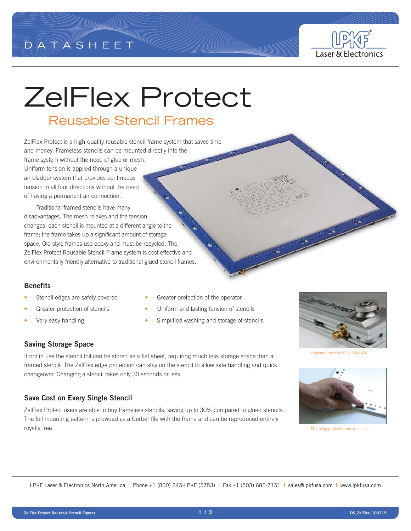



# ZelFlex Protect

## Reusable Stencil Frames

ZelFlex Protect is a high-quality reusable stencil frame system that saves time and money. Frameless stencils can be mounted directly into the frame system without the need of glue or mesh. Uniform tension is applied through a unique air bladder system that provides continuous tension in all four directions without the need of having a permanent air connection.

Traditional framed stencils have many disadvantages. The mesh relaxes and the tension changes; each stencil is mounted at a different angle to the frame; the frame takes up a significant amount of storage space. Old style frames use epoxy and must be recycled. The ZelFlex Protect Reusable Stencil Frame system is cost effective and environmentally friendly alternative to traditional glued stencil frames.

#### **Benefits**

- 
- 
- 
- Stencil edges are safely covered Greater protection of the operator
- Greater protection of stencils **•** Uniform and lasting tension of stencils
- Very easy handling Simplified washing and storage of stencils

#### **Saving Storage Space**

If not in use the stencil foil can be stored as a flat sheet, requiring much less storage space than a framed stencil. The ZelFlex edge protection can stay on the stencil to allow safe handling and quick changeover. Changing a stencil takes only 30 seconds or less.

#### **Save Cost on Every Single Stencil**

ZelFlex Protect users are able to buy frameless stencils, saving up to 30% compared to glued stencils. The foil mounting pattern is provided as a Gerber file with the frame and can be reproduced entirely royalty free.

Optional Roller for DEK 248/24



Mounting protect frame on stencil

LPKF Laser & Electronics North America **|** Phone +1 (800) 345-LPKF (5753) **|** Fax +1 (503) 682-7151 **|** sales@lpkfusa.com **|** www.lpkfusa.com